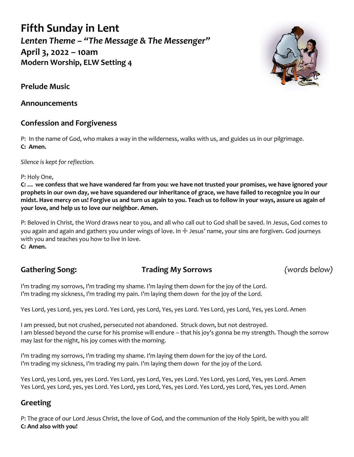**Fifth Sunday in Lent** *Lenten Theme – "The Message & The Messenger"* **April 3, 2022 – 10am Modern Worship, ELW Setting 4**

**Prelude Music**

**Announcements**

## **Confession and Forgiveness**

P: In the name of God, who makes a way in the wilderness, walks with us, and guides us in our pilgrimage. **C: Amen.**

*Silence is kept for reflection.*

P: Holy One,

**C: … we confess that we have wandered far from you: we have not trusted your promises, we have ignored your prophets in our own day, we have squandered our inheritance of grace, we have failed to recognize you in our midst. Have mercy on us! Forgive us and turn us again to you. Teach us to follow in your ways, assure us again of your love, and help us to love our neighbor. Amen.**

P: Beloved in Christ, the Word draws near to you, and all who call out to God shall be saved. In Jesus, God comes to you again and again and gathers you under wings of love. In ☩ Jesus' name, your sins are forgiven. God journeys with you and teaches you how to live in love. **C: Amen.**

## **Gathering Song: Trading My Sorrows** *(words below)*

I'm trading my sorrows, I'm trading my shame. I'm laying them down for the joy of the Lord. I'm trading my sickness, I'm trading my pain. I'm laying them down for the joy of the Lord.

Yes Lord, yes Lord, yes, yes Lord. Yes Lord, yes Lord, Yes, yes Lord. Yes Lord, yes Lord, Yes, yes Lord. Amen

I am pressed, but not crushed, persecuted not abandoned. Struck down, but not destroyed. I am blessed beyond the curse for his promise will endure – that his joy's gonna be my strength. Though the sorrow may last for the night, his joy comes with the morning.

I'm trading my sorrows, I'm trading my shame. I'm laying them down for the joy of the Lord. I'm trading my sickness, I'm trading my pain. I'm laying them down for the joy of the Lord.

Yes Lord, yes Lord, yes, yes Lord. Yes Lord, yes Lord, Yes, yes Lord. Yes Lord, yes Lord, Yes, yes Lord. Amen Yes Lord, yes Lord, yes, yes Lord. Yes Lord, yes Lord, Yes, yes Lord. Yes Lord, yes Lord, Yes, yes Lord. Amen

## **Greeting**

P: The grace of our Lord Jesus Christ, the love of God, and the communion of the Holy Spirit, be with you all! **C: And also with you!**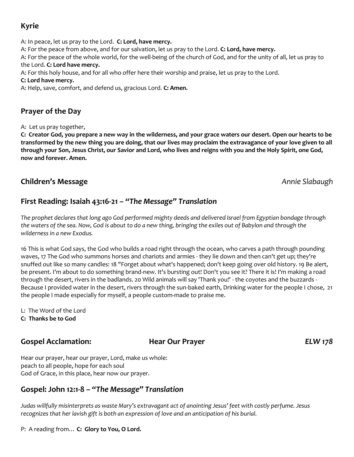## **Kyrie**

A: In peace, let us pray to the Lord. **C: Lord, have mercy.**

A: For the peace from above, and for our salvation, let us pray to the Lord. **C: Lord, have mercy.**

A: For the peace of the whole world, for the well-being of the church of God, and for the unity of all, let us pray to the Lord. **C: Lord have mercy.**

A: For this holy house, and for all who offer here their worship and praise, let us pray to the Lord.

#### **C: Lord have mercy.**

A: Help, save, comfort, and defend us, gracious Lord. **C: Amen.**

## **Prayer of the Day**

#### A: Let us pray together,

**C: Creator God, you prepare a new way in the wilderness, and your grace waters our desert. Open our hearts to be transformed by the new thing you are doing, that our lives may proclaim the extravagance of your love given to all through your Son, Jesus Christ, our Savior and Lord, who lives and reigns with you and the Holy Spirit, one God, now and forever. Amen.**

## **Children's Message** *Annie Slabaugh Annie Slabaugh Annie Slabaugh*

## **First Reading: Isaiah 43:16-21 –** *"The Message" Translation*

*The prophet declares that long ago God performed mighty deeds and delivered Israel from Egyptian bondage through the waters of the sea. Now, God is about to do a new thing, bringing the exiles out of Babylon and through the wilderness in a new Exodus.*

16 This is what God says, the God who builds a road right through the ocean, who carves a path through pounding waves, 17 The God who summons horses and chariots and armies - they lie down and then can't get up; they're snuffed out like so many candles: 18 "Forget about what's happened; don't keep going over old history. 19 Be alert, be present. I'm about to do something brand-new. It's bursting out! Don't you see it? There it is! I'm making a road through the desert, rivers in the badlands. 20 Wild animals will say 'Thank you!' - the coyotes and the buzzards - Because I provided water in the desert, rivers through the sun-baked earth, Drinking water for the people I chose, 21 the people I made especially for myself, a people custom-made to praise me.

L: The Word of the Lord

**C: Thanks be to God**

## **Gospel Acclamation: Hear Our Prayer** *ELW 178*

Hear our prayer, hear our prayer, Lord, make us whole: peach to all people, hope for each soul God of Grace, in this place, hear now our prayer.

## **Gospel: John 12:1-8 –** *"The Message" Translation*

*Judas willfully misinterprets as waste Mary's extravagant act of anointing Jesus' feet with costly perfume. Jesus recognizes that her lavish gift is both an expression of love and an anticipation of his burial.*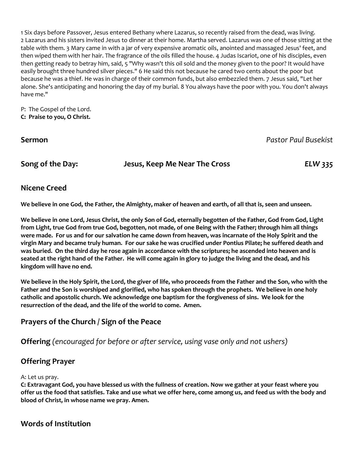1 Six days before Passover, Jesus entered Bethany where Lazarus, so recently raised from the dead, was living. 2 Lazarus and his sisters invited Jesus to dinner at their home. Martha served. Lazarus was one of those sitting at the table with them. 3 Mary came in with a jar of very expensive aromatic oils, anointed and massaged Jesus' feet, and then wiped them with her hair. The fragrance of the oils filled the house. 4 Judas Iscariot, one of his disciples, even then getting ready to betray him, said, 5 "Why wasn't this oil sold and the money given to the poor? It would have easily brought three hundred silver pieces." 6 He said this not because he cared two cents about the poor but because he was a thief. He was in charge of their common funds, but also embezzled them. 7 Jesus said, "Let her alone. She's anticipating and honoring the day of my burial. 8 You always have the poor with you. You don't always have me."

P: The Gospel of the Lord. **C: Praise to you, O Christ.**

**Sermon** *Pastor Paul Busekist*

### **Song of the Day: Jesus, Keep Me Near The Cross** *ELW 335*

## **Nicene Creed**

**We believe in one God, the Father, the Almighty, maker of heaven and earth, of all that is, seen and unseen.**

**We believe in one Lord, Jesus Christ, the only Son of God, eternally begotten of the Father, God from God, Light from Light, true God from true God, begotten, not made, of one Being with the Father; through him all things were made. For us and for our salvation he came down from heaven, was incarnate of the Holy Spirit and the virgin Mary and became truly human. For our sake he was crucified under Pontius Pilate; he suffered death and was buried. On the third day he rose again in accordance with the scriptures; he ascended into heaven and is seated at the right hand of the Father. He will come again in glory to judge the living and the dead, and his kingdom will have no end.**

**We believe in the Holy Spirit, the Lord, the giver of life, who proceeds from the Father and the Son, who with the Father and the Son is worshiped and glorified, who has spoken through the prophets. We believe in one holy catholic and apostolic church. We acknowledge one baptism for the forgiveness of sins. We look for the resurrection of the dead, and the life of the world to come. Amen.**

## **Prayers of the Church / Sign of the Peace**

**Offering** *(encouraged for before or after service, using vase only and not ushers)*

## **Offering Prayer**

### A: Let us pray.

**C: Extravagant God, you have blessed us with the fullness of creation. Now we gather at your feast where you offer us the food that satisfies. Take and use what we offer here, come among us, and feed us with the body and blood of Christ, in whose name we pray. Amen.**

**Words of Institution**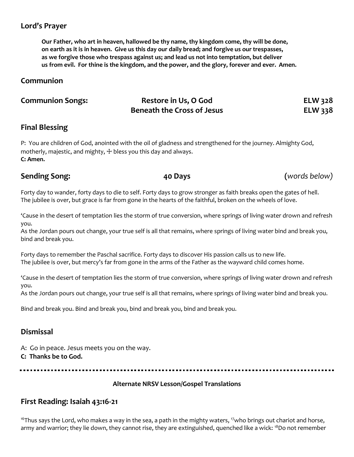## **Lord's Prayer**

**Our Father, who art in heaven, hallowed be thy name, thy kingdom come, thy will be done, on earth as it is in heaven. Give us this day our daily bread; and forgive us our trespasses, as we forgive those who trespass against us; and lead us not into temptation, but deliver us from evil. For thine is the kingdom, and the power, and the glory, forever and ever. Amen.**

## **Communion**

| <b>Communion Songs:</b> | Restore in Us, O God              | <b>ELW 328</b> |
|-------------------------|-----------------------------------|----------------|
|                         | <b>Beneath the Cross of Jesus</b> | <b>ELW 338</b> |

## **Final Blessing**

P: You are children of God, anointed with the oil of gladness and strengthened for the journey. Almighty God, motherly, majestic, and mighty,  $+$  bless you this day and always. **C: Amen.**

## **Sending Song: 40 Days (***words below)*

Forty day to wander, forty days to die to self. Forty days to grow stronger as faith breaks open the gates of hell. The jubilee is over, but grace is far from gone in the hearts of the faithful, broken on the wheels of love.

'Cause in the desert of temptation lies the storm of true conversion, where springs of living water drown and refresh you.

As the Jordan pours out change, your true self is all that remains, where springs of living water bind and break you, bind and break you.

Forty days to remember the Paschal sacrifice. Forty days to discover His passion calls us to new life. The jubilee is over, but mercy's far from gone in the arms of the Father as the wayward child comes home.

'Cause in the desert of temptation lies the storm of true conversion, where springs of living water drown and refresh you.

As the Jordan pours out change, your true self is all that remains, where springs of living water bind and break you.

Bind and break you. Bind and break you, bind and break you, bind and break you.

## **Dismissal**

A: Go in peace. Jesus meets you on the way. **C: Thanks be to God.**

### **Alternate NRSV Lesson/Gospel Translations**

## **First Reading: Isaiah 43:16-21**

 $16$ Thus says the Lord, who makes a way in the sea, a path in the mighty waters,  $17$ who brings out chariot and horse, army and warrior; they lie down, they cannot rise, they are extinguished, quenched like a wick: <sup>18</sup>Do not remember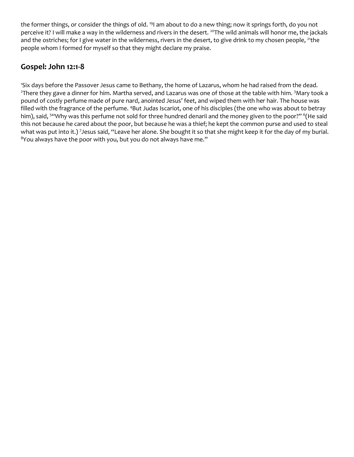the former things, or consider the things of old. <sup>19</sup>I am about to do a new thing; now it springs forth, do you not perceive it? I will make a way in the wilderness and rivers in the desert. <sup>20</sup>The wild animals will honor me, the jackals and the ostriches; for I give water in the wilderness, rivers in the desert, to give drink to my chosen people, <sup>21</sup>the people whom I formed for myself so that they might declare my praise.

## **Gospel: John 12:1-8**

<sup>1</sup>Six days before the Passover Jesus came to Bethany, the home of Lazarus, whom he had raised from the dead. <sup>2</sup>There they gave a dinner for him. Martha served, and Lazarus was one of those at the table with him. <sup>3</sup>Mary took a pound of costly perfume made of pure nard, anointed Jesus' feet, and wiped them with her hair. The house was filled with the fragrance of the perfume. <sup>4</sup>But Judas Iscariot, one of his disciples (the one who was about to betray him), said, <sup>5</sup>"Why was this perfume not sold for three hundred denarii and the money given to the poor?" <sup>6</sup>(He said this not because he cared about the poor, but because he was a thief; he kept the common purse and used to steal what was put into it.) <sup>7</sup>Jesus said, "Leave her alone. She bought it so that she might keep it for the day of my burial.  $8$ You always have the poor with you, but you do not always have me."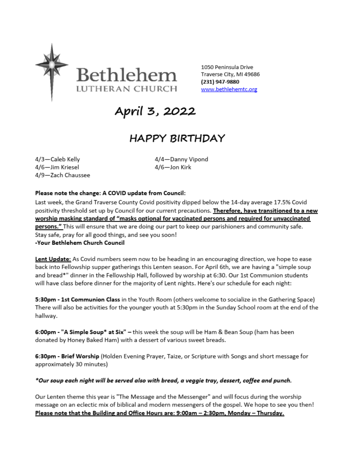

1050 Peninsula Drive Traverse City, MI 49686 (231) 947-9880 www.bethlehemtc.org

April 3, 2022

# **HAPPY BIRTHDAY**

4/3-Caleb Kelly 4/6-Jim Kriesel 4/9-Zach Chaussee 4/4-Danny Vipond 4/6-Jon Kirk

#### Please note the change: A COVID update from Council:

Last week, the Grand Traverse County Covid positivity dipped below the 14-day average 17.5% Covid positivity threshold set up by Council for our current precautions. Therefore, have transitioned to a new worship masking standard of "masks optional for vaccinated persons and required for unvaccinated persons." This will ensure that we are doing our part to keep our parishioners and community safe. Stay safe, pray for all good things, and see you soon!

-Your Bethlehem Church Council

Lent Update: As Covid numbers seem now to be heading in an encouraging direction, we hope to ease back into Fellowship supper gatherings this Lenten season. For April 6th, we are having a "simple soup and bread\*" dinner in the Fellowship Hall, followed by worship at 6:30. Our 1st Communion students will have class before dinner for the majority of Lent nights. Here's our schedule for each night:

5:30pm - 1st Communion Class in the Youth Room (others welcome to socialize in the Gathering Space) There will also be activities for the younger youth at 5:30pm in the Sunday School room at the end of the hallway.

6:00pm - "A Simple Soup\* at Six" – this week the soup will be Ham & Bean Soup (ham has been donated by Honey Baked Ham) with a dessert of various sweet breads.

6:30pm - Brief Worship (Holden Evening Prayer, Taize, or Scripture with Songs and short message for approximately 30 minutes)

\*Our soup each night will be served also with bread, a veggie tray, dessert, coffee and punch.

Our Lenten theme this year is "The Message and the Messenger" and will focus during the worship message on an eclectic mix of biblical and modern messengers of the gospel. We hope to see you then! Please note that the Building and Office Hours are: 9:00am - 2:30pm, Monday - Thursday.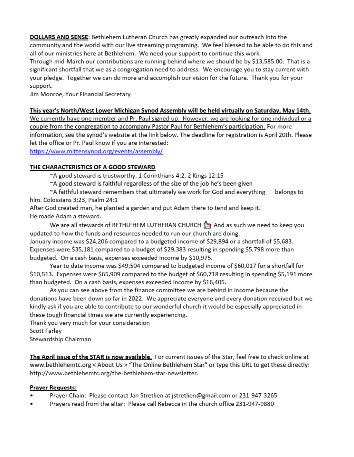**DOLLARS AND SENSE:** Bethlehem Lutheran Church has greatly expanded our outreach into the community and the world with our live streaming programing. We feel blessed to be able to do this and all of our ministries here at Bethlehem. We need your support to continue this work.

Through mid-March our contributions are running behind where we should be by \$13,585.00. That is a significant shortfall that we as a congregation need to address. We encourage you to stay current with your pledge. Together we can do more and accomplish our vision for the future. Thank you for your support.

Jim Monroe, Your Financial Secretary

#### This year's North/West Lower Michigan Synod Assembly will be held virtually on Saturday, May 14th.

We currently have one member and Pr. Paul signed up. However, we are looking for one individual or a couple from the congregation to accompany Pastor Paul for Bethlehem's participation. For more information, see the synod's website at the link below. The deadline for registration is April 20th. Please let the office or Pr. Paul know if you are interested: https://www.mittensynod.org/events/assembly/

#### THE CHARACTERISTICS OF A GOOD STEWARD

~A good steward is trustworthy. 1 Corinthians 4:2, 2 Kings 12:15

~A good steward is faithful regardless of the size of the job he's been given

~A faithful steward remembers that ultimately we work for God and everything belongs to him. Colossians 3:23, Psalm 24:1

After God created man, he planted a garden and put Adam there to tend and keep it. He made Adam a steward.

We are all stewards of BETHLEHEM LUTHERAN CHURCH in And as such we need to keep you updated to how the funds and resources needed to run our church are doing.

January income was \$24,206 compared to a budgeted income of \$29,894 or a shortfall of \$5,683. Expenses were \$35,181 compared to a budget of \$29,383 resulting in spending \$5,798 more than budgeted. On a cash basis, expenses exceeded income by \$10,975.

Year to date income was \$49,504 compared to budgeted income of \$60,017 for a shortfall for \$10,513. Expenses were \$65,909 compared to the budget of \$60,718 resulting in spending \$5,191 more than budgeted. On a cash basis, expenses exceeded income by \$16,405.

As you can see above from the finance committee we are behind in income because the donations have been down so far in 2022. We appreciate everyone and every donation received but we kindly ask if you are able to contribute to our wonderful church it would be especially appreciated in these tough financial times we are currently experiencing.

Thank you very much for your consideration Scott Farley Stewardship Chairman

The April issue of the STAR is now available. For current issues of the Star, feel free to check online at www.bethlehemtc.org < About Us > "The Online Bethlehem Star" or type this URL to get these directly: http://www.bethlehemtc.org/the-bethlehem-star-newsletter.

### **Prayer Requests:**

- Prayer Chain: Please contact Jan Stretlien at jstretlien@gmail.com or 231-947-3265
- Prayers read from the altar: Please call Rebecca in the church office 231-947-9880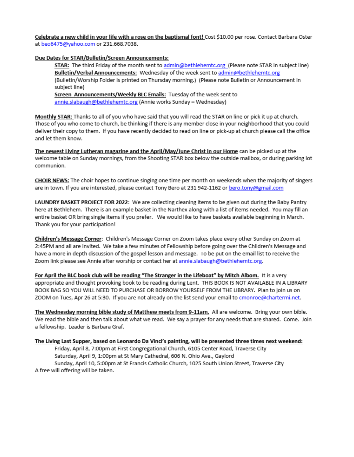Celebrate a new child in your life with a rose on the baptismal font! Cost \$10.00 per rose. Contact Barbara Oster at beo6475@yahoo.com or 231.668.7038.

Due Dates for STAR/Bulletin/Screen Announcements:

STAR: The third Friday of the month sent to admin@bethlehemtc.org (Please note STAR in subject line) Bulletin/Verbal Announcements: Wednesday of the week sent to admin@bethlehemtc.org (Bulletin/Worship Folder is printed on Thursday morning.) (Please note Bulletin or Announcement in subject line)

Screen Announcements/Weekly BLC Emails: Tuesday of the week sent to annie.slabaugh@bethlehemtc.org (Annie works Sunday - Wednesday)

Monthly STAR: Thanks to all of you who have said that you will read the STAR on line or pick it up at church. Those of you who come to church, be thinking if there is any member close in your neighborhood that you could deliver their copy to them. If you have recently decided to read on line or pick-up at church please call the office and let them know.

The newest Living Lutheran magazine and the April/May/June Christ in our Home can be picked up at the welcome table on Sunday mornings, from the Shooting STAR box below the outside mailbox, or during parking lot communion.

CHOIR NEWS: The choir hopes to continue singing one time per month on weekends when the majority of singers are in town. If you are interested, please contact Tony Bero at 231 942-1162 or bero.tony@gmail.com

LAUNDRY BASKET PROJECT FOR 2022: We are collecting cleaning items to be given out during the Baby Pantry here at Bethlehem. There is an example basket in the Narthex along with a list of items needed. You may fill an entire basket OR bring single items if you prefer. We would like to have baskets available beginning in March. Thank you for your participation!

Children's Message Corner: Children's Message Corner on Zoom takes place every other Sunday on Zoom at 2:45PM and all are invited. We take a few minutes of Fellowship before going over the Children's Message and have a more in depth discussion of the gospel lesson and message. To be put on the email list to receive the Zoom link please see Annie after worship or contact her at annie.slabaugh@bethlehemtc.org.

For April the BLC book club will be reading "The Stranger in the Lifeboat" by Mitch Albom. It is a very appropriate and thought provoking book to be reading during Lent. THIS BOOK IS NOT AVAILABLE IN A LIBRARY BOOK BAG SO YOU WILL NEED TO PURCHASE OR BORROW YOURSELF FROM THE LIBRARY. Plan to join us on ZOOM on Tues, Apr 26 at 5:30. If you are not already on the list send your email to cmonroe@chartermi.net.

The Wednesday morning bible study of Matthew meets from 9-11am. All are welcome. Bring your own bible. We read the bible and then talk about what we read. We say a prayer for any needs that are shared. Come. Join a fellowship. Leader is Barbara Graf.

The Living Last Supper, based on Leonardo Da Vinci's painting, will be presented three times next weekend: Friday, April 8, 7:00pm at First Congregational Church, 6105 Center Road, Traverse City Saturday, April 9, 1:00pm at St Mary Cathedral, 606 N. Ohio Ave., Gaylord

Sunday, April 10, 5:00pm at St Francis Catholic Church, 1025 South Union Street, Traverse City A free will offering will be taken.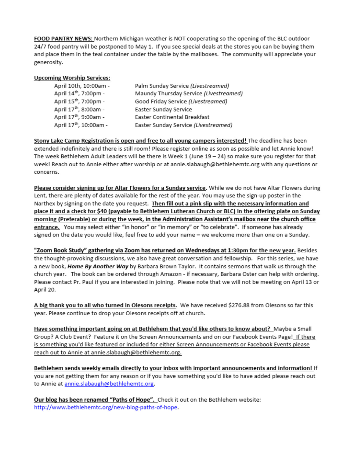FOOD PANTRY NEWS: Northern Michigan weather is NOT cooperating so the opening of the BLC outdoor 24/7 food pantry will be postponed to May 1. If you see special deals at the stores you can be buying them and place them in the teal container under the table by the mailboxes. The community will appreciate your generosity.

#### **Upcoming Worship Services:**

| April 10th, 10:00am -              | Palm Sunday Service (Livestreamed)     |
|------------------------------------|----------------------------------------|
| April 14 <sup>th</sup> , 7:00pm -  | Maundy Thursday Service (Livestreamed) |
| April 15 <sup>th</sup> , 7:00pm -  | Good Friday Service (Livestreamed)     |
| April 17 <sup>th</sup> , 8:00am -  | Easter Sunday Service                  |
| April 17 <sup>th</sup> , 9:00am -  | Easter Continental Breakfast           |
| April 17 <sup>th</sup> , 10:00am - | Easter Sunday Service (Livestreamed)   |

Stony Lake Camp Registration is open and free to all young campers interested! The deadline has been extended indefinitely and there is still room! Please register online as soon as possible and let Annie know! The week Bethlehem Adult Leaders will be there is Week 1 (June 19 - 24) so make sure you register for that week! Reach out to Annie either after worship or at annie.slabaugh@bethlehemtc.org with any questions or concerns.

Please consider signing up for Altar Flowers for a Sunday service. While we do not have Altar Flowers during Lent, there are plenty of dates available for the rest of the year. You may use the sign-up poster in the Narthex by signing on the date you request. Then fill out a pink slip with the necessary information and place it and a check for \$40 (payable to Bethlehem Lutheran Church or BLC) in the offering plate on Sunday morning (Preferable) or during the week, in the Administration Assistant's mailbox near the church office entrance. You may select either "in honor" or "in memory" or "to celebrate". If someone has already signed on the date you would like, feel free to add your name - we welcome more than one on a Sunday.

"Zoom Book Study" gathering via Zoom has returned on Wednesdays at 1:30pm for the new year. Besides the thought-provoking discussions, we also have great conversation and fellowship. For this series, we have a new book, Home By Another Way by Barbara Brown Taylor. It contains sermons that walk us through the church year. The book can be ordered through Amazon - if necessary, Barbara Oster can help with ordering. Please contact Pr. Paul if you are interested in joining. Please note that we will not be meeting on April 13 or April 20.

A big thank you to all who turned in Olesons receipts. We have received \$276.88 from Olesons so far this year. Please continue to drop your Olesons receipts off at church.

Have something important going on at Bethlehem that you'd like others to know about? Maybe a Small Group? A Club Event? Feature it on the Screen Announcements and on our Facebook Events Page! If there is something you'd like featured or included for either Screen Announcements or Facebook Events please reach out to Annie at annie.slabaugh@bethlehemtc.org.

Bethlehem sends weekly emails directly to your inbox with important announcements and information! If you are not getting them for any reason or if you have something you'd like to have added please reach out to Annie at annie.slabaugh@bethlehemtc.org.

Our blog has been renamed "Paths of Hope". Check it out on the Bethlehem website: http://www.bethlehemtc.org/new-blog-paths-of-hope.